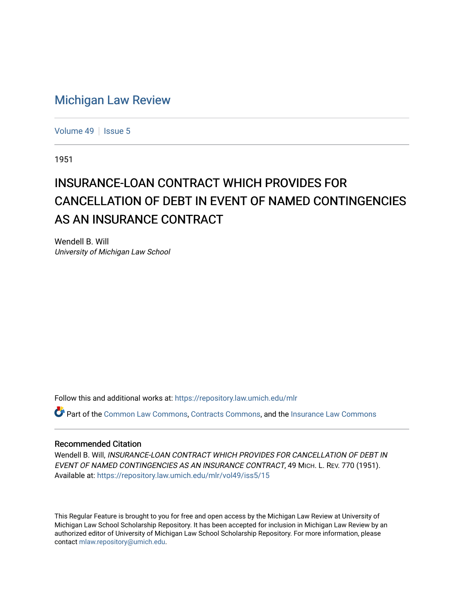## [Michigan Law Review](https://repository.law.umich.edu/mlr)

[Volume 49](https://repository.law.umich.edu/mlr/vol49) | [Issue 5](https://repository.law.umich.edu/mlr/vol49/iss5)

1951

## INSURANCE-LOAN CONTRACT WHICH PROVIDES FOR CANCELLATION OF DEBT IN EVENT OF NAMED CONTINGENCIES AS AN INSURANCE CONTRACT

Wendell B. Will University of Michigan Law School

Follow this and additional works at: [https://repository.law.umich.edu/mlr](https://repository.law.umich.edu/mlr?utm_source=repository.law.umich.edu%2Fmlr%2Fvol49%2Fiss5%2F15&utm_medium=PDF&utm_campaign=PDFCoverPages) 

Part of the [Common Law Commons,](http://network.bepress.com/hgg/discipline/1120?utm_source=repository.law.umich.edu%2Fmlr%2Fvol49%2Fiss5%2F15&utm_medium=PDF&utm_campaign=PDFCoverPages) [Contracts Commons,](http://network.bepress.com/hgg/discipline/591?utm_source=repository.law.umich.edu%2Fmlr%2Fvol49%2Fiss5%2F15&utm_medium=PDF&utm_campaign=PDFCoverPages) and the [Insurance Law Commons](http://network.bepress.com/hgg/discipline/607?utm_source=repository.law.umich.edu%2Fmlr%2Fvol49%2Fiss5%2F15&utm_medium=PDF&utm_campaign=PDFCoverPages) 

## Recommended Citation

Wendell B. Will, INSURANCE-LOAN CONTRACT WHICH PROVIDES FOR CANCELLATION OF DEBT IN EVENT OF NAMED CONTINGENCIES AS AN INSURANCE CONTRACT, 49 MICH. L. REV. 770 (1951). Available at: [https://repository.law.umich.edu/mlr/vol49/iss5/15](https://repository.law.umich.edu/mlr/vol49/iss5/15?utm_source=repository.law.umich.edu%2Fmlr%2Fvol49%2Fiss5%2F15&utm_medium=PDF&utm_campaign=PDFCoverPages) 

This Regular Feature is brought to you for free and open access by the Michigan Law Review at University of Michigan Law School Scholarship Repository. It has been accepted for inclusion in Michigan Law Review by an authorized editor of University of Michigan Law School Scholarship Repository. For more information, please contact [mlaw.repository@umich.edu](mailto:mlaw.repository@umich.edu).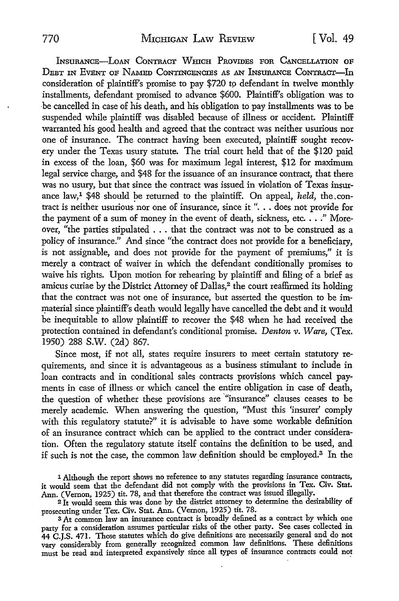INSURANCE-LOAN CONTRACT WHICH PROVIDES FOR CANCELLATION OF DEBT IN EVENT OF NAMED CONTINGENCIES AS AN INSURANCE CONTRACT-In consideration of plaintiff's promise to pay \$720 tp defendant in twelve monthly installments, defendant promised to advance \$600. Plaintiff's obligation was to be cancelled in case of his death, and his obligation to pay installments was to be suspended while plaintiff was disabled because of illness or accident. Plaintiff warranted his good health and agreed that the contract was neither usurious nor one of insurance. The contract having been executed, plaintiff sought recovery under the Texas usury statute. The trial court held that of the \$120 paid in excess of the loan, \$60 was for maximum legal interest, \$12 for maximum legal service charge, and \$48 for the issuance of an insurance contract, that there was no usury, but that since the contract was issued in violation of Texas insurance law,<sup>1</sup> \$48 should be returned to the plaintiff. On appeal, *held*, the.contract is neither usurious nor one of insurance, since it ". . . does not provide for the payment of a sum of money in the event of death, sickness, etc.  $\dots$ ." Moreover, "the parties stipulated ... that the contract was not to be construed as a policy of insurance." And since "the contract does not provide for a beneficiary, is not assignable, and does not provide for the payment of premiums," it is merely a contract of waiver in which the defendant conditionally promises to waive his rights. Upon motion for rehearing by plaintiff and filing of a brief as amicus curiae by the District Attorney of Dallas,<sup>2</sup> the court reaffirmed its holding that the contract was not one of insurance, but asserted the question to be immaterial since plaintiff's death would legally have cancelled the debt and it would be inequitable to allow plaintiff to recover the \$48 when he had received the protection contained in defendant's conditional promise. *Denton v. Ware,* (Tex. 1950) 288 s.w. (2d) 867.

Since most, if not all, states require insurers to meet certain statutory requirements, and since it is advantageous as a business stimulant to include in loan contracts and in conditional sales contracts provisions which cancel payments in case of illness or which cancel the entire obligation in case of death, the question of whether these provisions are "insurance" clauses ceases to be merely academic. When answering the question, "Must this 'insurer' comply with this regulatory statute?" it is advisable to have some workable definition of an insurance contract which can be applied to the contract under consideration. Often the regulatory statute itself contains the definition to be used, and if such is not the case, the common law definition should be employed.<sup>3</sup> In the

1 Although the report shows no reference to any statutes regarding insurance contracts, it would seem that the defendant did not comply with the provisions in Tex. Civ. Stat. Ann. (Vernon, 1925) tit. 78, and that therefore the contract was issued illegally.

<sup>2</sup>It would seem this was done by the district attorney to determine the desirability of prosecuting under Tex. Civ. Stat. Ann. (Vernon, 1925) tit. 78.

<sup>3</sup> At common law an insurance contract is broadly defined as a contract by which one party for a consideration assumes particular risks of the other party. See cases collected in 44 C.J.S. 471. Those statutes which do give definitions are necessarily general and do not vary considerably from generally recognized common law definitions. These definitions must be read and interpreted expansively since all types of insurance contracts could not